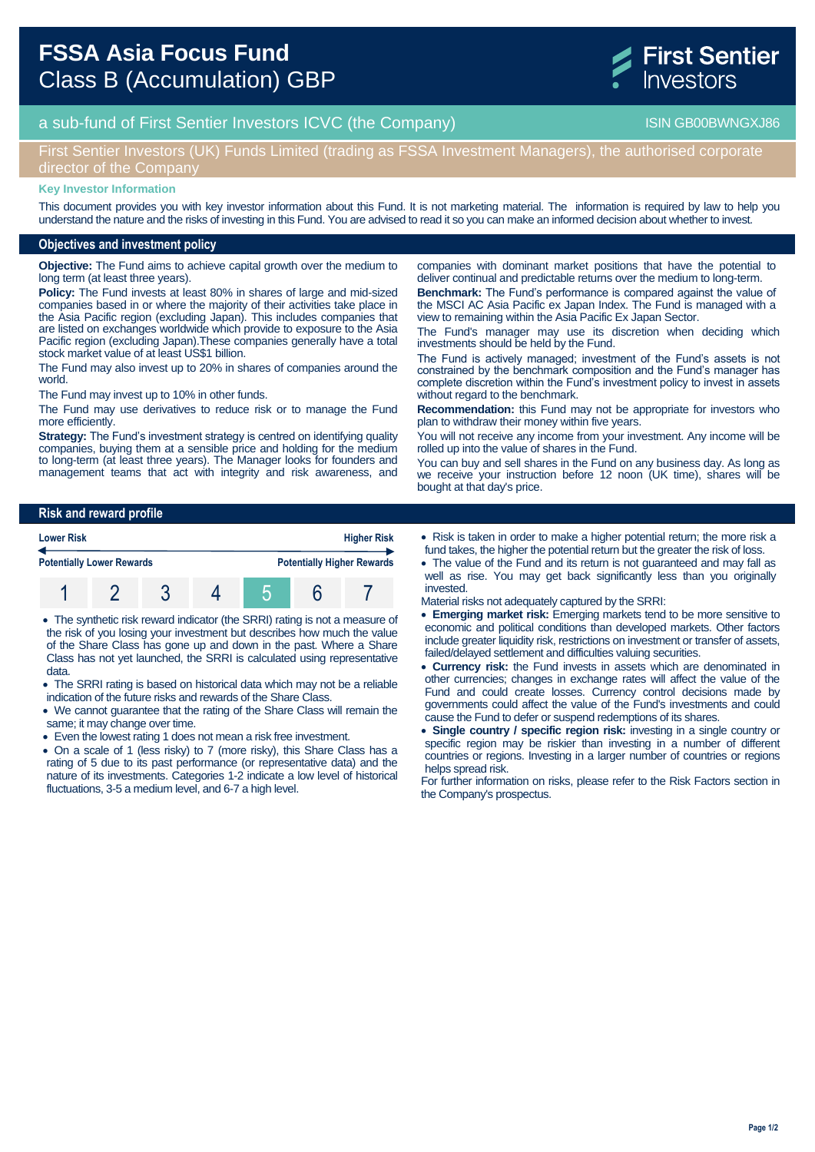

# a sub-fund of First Sentier Investors ICVC (the Company) and the Company ISIN GB00BWNGXJ86

# First Sentier Investors (UK) Funds Limited (trading as FSSA Investment Managers), the authorised corporate director of the Company

#### **Key Investor Information**

This document provides you with key investor information about this Fund. It is not marketing material. The information is required by law to help you understand the nature and the risks of investing in this Fund. You are advised to read it so you can make an informed decision about whether to invest.

### **Objectives and investment policy**

**Objective:** The Fund aims to achieve capital growth over the medium to long term (at least three years).

**Policy:** The Fund invests at least 80% in shares of large and mid-sized companies based in or where the majority of their activities take place in the Asia Pacific region (excluding Japan). This includes companies that are listed on exchanges worldwide which provide to exposure to the Asia Pacific region (excluding Japan).These companies generally have a total stock market value of at least US\$1 billion.

The Fund may also invest up to 20% in shares of companies around the world.

The Fund may invest up to 10% in other funds.

The Fund may use derivatives to reduce risk or to manage the Fund more efficiently

**Strategy:** The Fund's investment strategy is centred on identifying quality companies, buying them at a sensible price and holding for the medium to long-term (at least three years). The Manager looks for founders and management teams that act with integrity and risk awareness, and companies with dominant market positions that have the potential to deliver continual and predictable returns over the medium to long-term. **Benchmark:** The Fund's performance is compared against the value of the MSCI AC Asia Pacific ex Japan Index. The Fund is managed with a view to remaining within the Asia Pacific Ex Japan Sector.

The Fund's manager may use its discretion when deciding which investments should be held by the Fund.

The Fund is actively managed; investment of the Fund's assets is not constrained by the benchmark composition and the Fund's manager has complete discretion within the Fund's investment policy to invest in assets without regard to the benchmark.

**Recommendation:** this Fund may not be appropriate for investors who plan to withdraw their money within five years.

You will not receive any income from your investment. Any income will be rolled up into the value of shares in the Fund.

You can buy and sell shares in the Fund on any business day. As long as we receive your instruction before 12 noon (UK time), shares will be bought at that day's price.

### **Risk and reward profile**



- The synthetic risk reward indicator (the SRRI) rating is not a measure of the risk of you losing your investment but describes how much the value of the Share Class has gone up and down in the past. Where a Share Class has not yet launched, the SRRI is calculated using representative data.
- The SRRI rating is based on historical data which may not be a reliable indication of the future risks and rewards of the Share Class.
- We cannot guarantee that the rating of the Share Class will remain the same; it may change over time.
- Even the lowest rating 1 does not mean a risk free investment.
- On a scale of 1 (less risky) to 7 (more risky), this Share Class has a rating of 5 due to its past performance (or representative data) and the nature of its investments. Categories 1-2 indicate a low level of historical fluctuations, 3-5 a medium level, and 6-7 a high level.
- Risk is taken in order to make a higher potential return; the more risk a fund takes, the higher the potential return but the greater the risk of loss.
- The value of the Fund and its return is not guaranteed and may fall as well as rise. You may get back significantly less than you originally invested.
- Material risks not adequately captured by the SRRI:
- **Emerging market risk:** Emerging markets tend to be more sensitive to economic and political conditions than developed markets. Other factors include greater liquidity risk, restrictions on investment or transfer of assets, failed/delayed settlement and difficulties valuing securities.
- **Currency risk:** the Fund invests in assets which are denominated in other currencies; changes in exchange rates will affect the value of the Fund and could create losses. Currency control decisions made by governments could affect the value of the Fund's investments and could cause the Fund to defer or suspend redemptions of its shares.
- **Single country / specific region risk:** investing in a single country or specific region may be riskier than investing in a number of different countries or regions. Investing in a larger number of countries or regions helps spread risk.

For further information on risks, please refer to the Risk Factors section in the Company's prospectus.